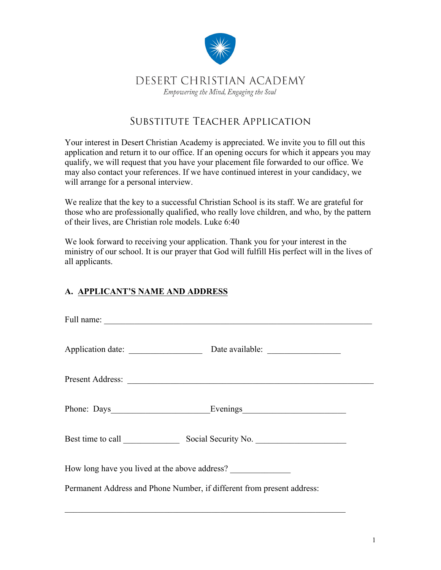

## DESERT CHRISTIAN ACADEMY Empowering the Mind, Engaging the Soul

# Substitute Teacher Application

Your interest in Desert Christian Academy is appreciated. We invite you to fill out this application and return it to our office. If an opening occurs for which it appears you may qualify, we will request that you have your placement file forwarded to our office. We may also contact your references. If we have continued interest in your candidacy, we will arrange for a personal interview.

We realize that the key to a successful Christian School is its staff. We are grateful for those who are professionally qualified, who really love children, and who, by the pattern of their lives, are Christian role models. Luke 6:40

We look forward to receiving your application. Thank you for your interest in the ministry of our school. It is our prayer that God will fulfill His perfect will in the lives of all applicants.

## **A. APPLICANT'S NAME AND ADDRESS**

| Phone: Days Evenings                                                   |  |  |  |  |  |  |  |
|------------------------------------------------------------------------|--|--|--|--|--|--|--|
| Best time to call Social Security No.                                  |  |  |  |  |  |  |  |
| How long have you lived at the above address?                          |  |  |  |  |  |  |  |
| Permanent Address and Phone Number, if different from present address: |  |  |  |  |  |  |  |
|                                                                        |  |  |  |  |  |  |  |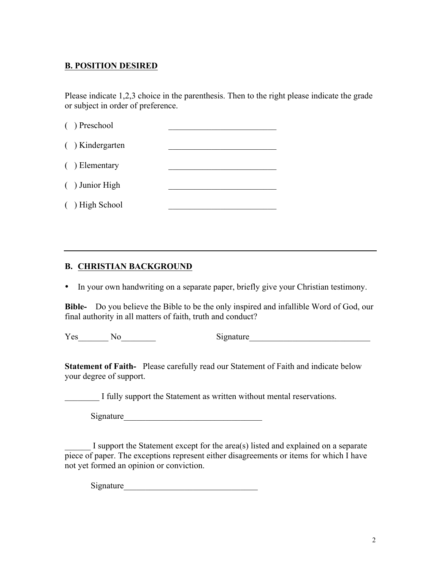## **B. POSITION DESIRED**

Please indicate 1,2,3 choice in the parenthesis. Then to the right please indicate the grade or subject in order of preference.

| ( ) Preschool    |  |
|------------------|--|
| () Kindergarten  |  |
| $( )$ Elementary |  |
| ( ) Junior High  |  |
| ( ) High School  |  |
|                  |  |

#### **B. CHRISTIAN BACKGROUND**

• In your own handwriting on a separate paper, briefly give your Christian testimony.

**Bible-** Do you believe the Bible to be the only inspired and infallible Word of God, our final authority in all matters of faith, truth and conduct?

Yes No Signature

**Statement of Faith-** Please carefully read our Statement of Faith and indicate below your degree of support.

I fully support the Statement as written without mental reservations.

Signature

I support the Statement except for the area(s) listed and explained on a separate piece of paper. The exceptions represent either disagreements or items for which I have not yet formed an opinion or conviction.

Signature\_\_\_\_\_\_\_\_\_\_\_\_\_\_\_\_\_\_\_\_\_\_\_\_\_\_\_\_\_\_\_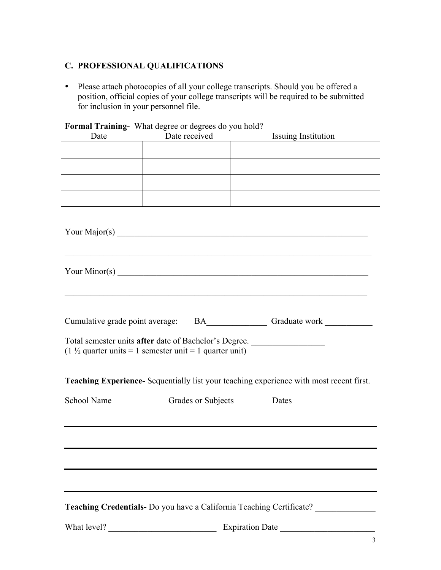## **C. PROFESSIONAL QUALIFICATIONS**

• Please attach photocopies of all your college transcripts. Should you be offered a position, official copies of your college transcripts will be required to be submitted for inclusion in your personnel file.

## **Formal Training-** What degree or degrees do you hold?

| Date | Date received | <b>Issuing Institution</b> |
|------|---------------|----------------------------|
|      |               |                            |
|      |               |                            |
|      |               |                            |
|      |               |                            |
|      |               |                            |

|                                                                                                                              |                    | Your Major(s) $\overline{\phantom{a}}$                                                         |  |
|------------------------------------------------------------------------------------------------------------------------------|--------------------|------------------------------------------------------------------------------------------------|--|
|                                                                                                                              |                    |                                                                                                |  |
|                                                                                                                              |                    |                                                                                                |  |
| Total semester units after date of Bachelor's Degree.<br>$(1 \frac{1}{2})$ quarter units = 1 semester unit = 1 quarter unit) |                    |                                                                                                |  |
|                                                                                                                              |                    | <b>Teaching Experience-</b> Sequentially list your teaching experience with most recent first. |  |
| School Name                                                                                                                  | Grades or Subjects | Dates                                                                                          |  |
|                                                                                                                              |                    |                                                                                                |  |
|                                                                                                                              |                    |                                                                                                |  |
|                                                                                                                              |                    |                                                                                                |  |
|                                                                                                                              |                    | Teaching Credentials- Do you have a California Teaching Certificate?                           |  |
|                                                                                                                              |                    |                                                                                                |  |